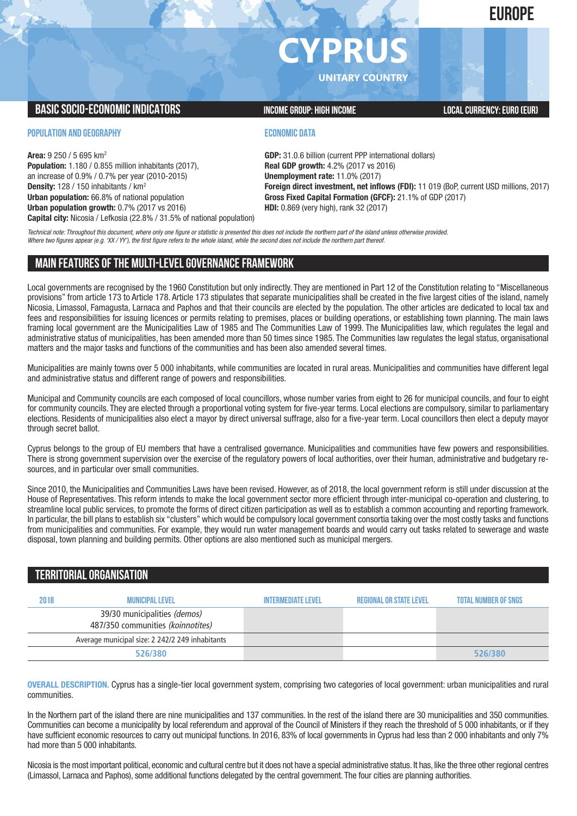**EUROPE**

# **CYPRUS**

**UNITARY COUNTRY**

# **BASIC SOCIO-ECONOMIC INDICATORS INCOME GROUP:** HIGH INCOME GROUP: HIGH INCOME

**POPULATION AND GEOGRAPHY**

**Area:** 9 250 / 5 695 km2 **Population:** 1.180 / 0.855 million inhabitants (2017), an increase of 0.9% / 0.7% per year (2010-2015) **Density:** 128 / 150 inhabitants / km2 **Urban population:** 66.8% of national population **Urban population growth:** 0.7% (2017 vs 2016) **Capital city:** Nicosia / Lefkosia (22.8% / 31.5% of national population)

## **ECONOMIC DATA**

**GDP:** 31.0.6 billion (current PPP international dollars) **Real GDP growth:** 4.2% (2017 vs 2016) **Unemployment rate:** 11.0% (2017) **Foreign direct investment, net inflows (FDI):** 11 019 (BoP, current USD millions, 2017) **Gross Fixed Capital Formation (GFCF):** 21.1% of GDP (2017) **HDI:** 0.869 (very high), rank 32 (2017)

Technical note: Throughout this document, where only one figure or statistic is presented this does not include the northern part of the island unless otherwise provided. Where two figures appear (e.g. 'XX / YY'), the first figure refers to the whole island, while the second does not include the northern part thereof.

# **MAIN FEATURESOFTHE MULTI-LEVELGOVERNANCEFRAMEWORK**

Local governments are recognised by the 1960 Constitution but only indirectly. They are mentioned in Part 12 of the Constitution relating to "Miscellaneous provisions" from article 173 to Article 178. Article 173 stipulates that separate municipalities shall be created in the five largest cities of the island, namely Nicosia, Limassol, Famagusta, Larnaca and Paphos and that their councils are elected by the population. The other articles are dedicated to local tax and fees and responsibilities for issuing licences or permits relating to premises, places or building operations, or establishing town planning. The main laws framing local government are the Municipalities Law of 1985 and The Communities Law of 1999. The Municipalities law, which regulates the legal and administrative status of municipalities, has been amended more than 50 times since 1985. The Communities law regulates the legal status, organisational matters and the major tasks and functions of the communities and has been also amended several times.

Municipalities are mainly towns over 5 000 inhabitants, while communities are located in rural areas. Municipalities and communities have different legal and administrative status and different range of powers and responsibilities.

Municipal and Community councils are each composed of local councillors, whose number varies from eight to 26 for municipal councils, and four to eight for community councils. They are elected through a proportional voting system for five-year terms. Local elections are compulsory, similar to parliamentary elections. Residents of municipalities also elect a mayor by direct universal suffrage, also for a five-year term. Local councillors then elect a deputy mayor through secret ballot.

Cyprus belongs to the group of EU members that have a centralised governance. Municipalities and communities have few powers and responsibilities. There is strong government supervision over the exercise of the regulatory powers of local authorities, over their human, administrative and budgetary resources, and in particular over small communities.

Since 2010, the Municipalities and Communities Laws have been revised. However, as of 2018, the local government reform is still under discussion at the House of Representatives. This reform intends to make the local government sector more efficient through inter-municipal co-operation and clustering, to streamline local public services, to promote the forms of direct citizen participation as well as to establish a common accounting and reporting framework. In particular, the bill plans to establish six "clusters" which would be compulsory local government consortia taking over the most costly tasks and functions from municipalities and communities. For example, they would run water management boards and would carry out tasks related to sewerage and waste disposal, town planning and building permits. Other options are also mentioned such as municipal mergers.

# **TERRITORIALORGANISATION**

| 2018 | <b>MUNICIPAL LEVEL</b>                                            | <b>INTFRMFDIATF I FVFI</b> | REGIONAL OR STATE LEVEL | <b>TOTAL NUMBER OF SNGS</b> |
|------|-------------------------------------------------------------------|----------------------------|-------------------------|-----------------------------|
|      | 39/30 municipalities (demos)<br>487/350 communities (koinnotites) |                            |                         |                             |
|      | Average municipal size: 2 242/2 249 inhabitants                   |                            |                         |                             |
|      | 526/380                                                           |                            |                         | 526/380                     |

**OVERALL DESCRIPTION.** Cyprus has a single-tier local government system, comprising two categories of local government: urban municipalities and rural communities.

In the Northern part of the island there are nine municipalities and 137 communities. In the rest of the island there are 30 municipalities and 350 communities. Communities can become a municipality by local referendum and approval of the Council of Ministers if they reach the threshold of 5 000 inhabitants, or if they have sufficient economic resources to carry out municipal functions. In 2016, 83% of local governments in Cyprus had less than 2 000 inhabitants and only 7% had more than 5 000 inhabitants.

Nicosia is the most important political, economic and cultural centre but it does not have a special administrative status. It has, like the three other regional centres (Limassol, Larnaca and Paphos), some additional functions delegated by the central government. The four cities are planning authorities.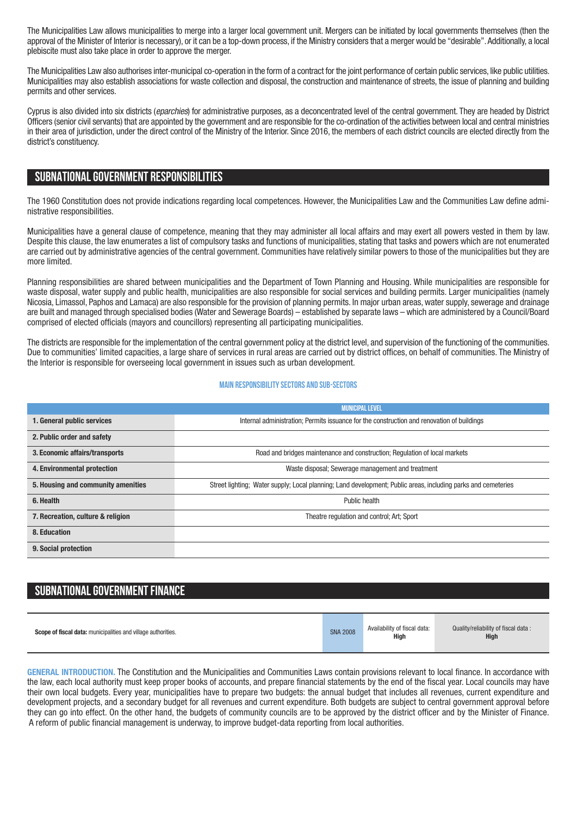The Municipalities Law allows municipalities to merge into a larger local government unit. Mergers can be initiated by local governments themselves (then the approval of the Minister of Interior is necessary), or it can be a top-down process, if the Ministry considers that a merger would be "desirable".Additionally, a local plebiscite must also take place in order to approve the merger.

The Municipalities Law also authorises inter-municipal co-operation in the form of a contract for the joint performance of certain public services, like public utilities. Municipalities may also establish associations for waste collection and disposal, the construction and maintenance of streets, the issue of planning and building permits and other services.

Cyprus is also divided into six districts (*eparchies*) for administrative purposes, as a deconcentrated level of the central government. They are headed by District Officers (senior civil servants) that are appointed by the government and are responsible for the co-ordination of the activities between local and central ministries in their area of jurisdiction, under the direct control of the Ministry of the Interior. Since 2016, the members of each district councils are elected directly from the district's constituency.

# **SUBNATIONALGOVERNMENT RESPONSIBILITIES**

The 1960 Constitution does not provide indications regarding local competences. However, the Municipalities Law and the Communities Law define administrative responsibilities.

Municipalities have a general clause of competence, meaning that they may administer all local affairs and may exert all powers vested in them by law. Despite this clause, the law enumerates a list of compulsory tasks and functions of municipalities, stating that tasks and powers which are not enumerated are carried out by administrative agencies of the central government. Communities have relatively similar powers to those of the municipalities but they are more limited.

Planning responsibilities are shared between municipalities and the Department of Town Planning and Housing. While municipalities are responsible for waste disposal, water supply and public health, municipalities are also responsible for social services and building permits. Larger municipalities (namely Nicosia, Limassol, Paphos and Lamaca) are also responsible for the provision of planning permits. In major urban areas, water supply, sewerage and drainage are built and managed through specialised bodies (Water and Sewerage Boards) – established by separate laws – which are administered by a Council/Board comprised of elected officials (mayors and councillors) representing all participating municipalities.

The districts are responsible for the implementation of the central government policy at the district level, and supervision of the functioning of the communities. Due to communities' limited capacities, a large share of services in rural areas are carried out by district offices, on behalf of communities. The Ministry of the Interior is responsible for overseeing local government in issues such as urban development.

#### **Main responsibilitysectors and sub-sectors**

|                                    | <b>MUNICIPAL LEVEL</b>                                                                                        |  |  |
|------------------------------------|---------------------------------------------------------------------------------------------------------------|--|--|
| 1. General public services         | Internal administration; Permits issuance for the construction and renovation of buildings                    |  |  |
| 2. Public order and safety         |                                                                                                               |  |  |
| 3. Economic affairs/transports     | Road and bridges maintenance and construction; Regulation of local markets                                    |  |  |
| 4. Environmental protection        | Waste disposal; Sewerage management and treatment                                                             |  |  |
| 5. Housing and community amenities | Street lighting; Water supply; Local planning; Land development; Public areas, including parks and cemeteries |  |  |
| 6. Health                          | Public health                                                                                                 |  |  |
| 7. Recreation, culture & religion  | Theatre regulation and control; Art; Sport                                                                    |  |  |
| 8. Education                       |                                                                                                               |  |  |
| 9. Social protection               |                                                                                                               |  |  |

# **SUBNATIONAL GOVERNMENT FINANCE**

| Scope of fiscal data: municipalities and village authorities. | <b>SNA 2008</b> | Availability of fiscal data:<br>High | Quality/reliability of fiscal data:<br><b>High</b> |
|---------------------------------------------------------------|-----------------|--------------------------------------|----------------------------------------------------|
|---------------------------------------------------------------|-----------------|--------------------------------------|----------------------------------------------------|

**GENERAL INTRODUCTION.** The Constitution and the Municipalities and Communities Laws contain provisions relevant to local finance. In accordance with the law, each local authority must keep proper books of accounts, and prepare financial statements by the end of the fiscal year. Local councils may have their own local budgets. Every year, municipalities have to prepare two budgets: the annual budget that includes all revenues, current expenditure and development projects, and a secondary budget for all revenues and current expenditure. Both budgets are subject to central government approval before they can go into effect. On the other hand, the budgets of community councils are to be approved by the district officer and by the Minister of Finance. A reform of public financial management is underway, to improve budget-data reporting from local authorities.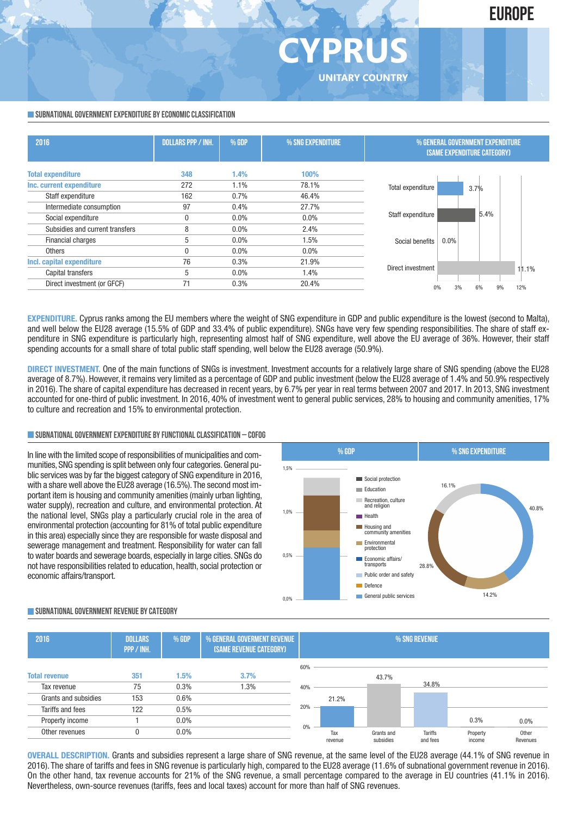## **SUBNATIONAL GOVERNMENT EXPENDITURE BY ECONOMIC CLASSIFICATION**

| 2016                            | <b>DOLLARS PPP / INH.</b> | % GDP   | % SNG EXPENDITURE | % GENERAL GOVERNMENT EXPENDITURE<br><b>(SAME EXPENDITURE CATEGORY)</b> |
|---------------------------------|---------------------------|---------|-------------------|------------------------------------------------------------------------|
| <b>Total expenditure</b>        | 348                       | 1.4%    | 100%              |                                                                        |
| Inc. current expenditure        | 272                       | 1.1%    | 78.1%             | Total expenditure<br>3.7%                                              |
| Staff expenditure               | 162                       | 0.7%    | 46.4%             |                                                                        |
| Intermediate consumption        | 97                        | 0.4%    | 27.7%             |                                                                        |
| Social expenditure              | 0                         | $0.0\%$ | 0.0%              | 5.4%<br>Staff expenditure                                              |
| Subsidies and current transfers | 8                         | $0.0\%$ | 2.4%              |                                                                        |
| Financial charges               | 5                         | $0.0\%$ | 1.5%              | $0.0\%$<br>Social benefits                                             |
| Others                          |                           | $0.0\%$ | 0.0%              |                                                                        |
| Incl. capital expenditure       | 76                        | 0.3%    | 21.9%             |                                                                        |
| Capital transfers               | 5                         | $0.0\%$ | 1.4%              | Direct investment<br>11.1%                                             |
| Direct investment (or GFCF)     | 71                        | 0.3%    | 20.4%             | 12%<br>3%<br>6%<br>9%                                                  |

**CYPRUS**

**UNITARY COUNTRY**

**EXPENDITURE.** Cyprus ranks among the EU members where the weight of SNG expenditure in GDP and public expenditure is the lowest (second to Malta). and well below the EU28 average (15.5% of GDP and 33.4% of public expenditure). SNGs have very few spending responsibilities. The share of staff expenditure in SNG expenditure is particularly high, representing almost half of SNG expenditure, well above the EU average of 36%. However, their staff spending accounts for a small share of total public staff spending, well below the EU28 average (50.9%).

**DIRECT INVESTMENT.** One of the main functions of SNGs is investment. Investment accounts for a relatively large share of SNG spending (above the EU28 average of 8.7%). However, it remains very limited as a percentage of GDP and public investment (below the EU28 average of 1.4% and 50.9% respectively in 2016). The share of capital expenditure has decreased in recent years, by 6.7% per year in real terms between 2007 and 2017. In 2013, SNG investment accounted for one-third of public investment. In 2016, 40% of investment went to general public services, 28% to housing and community amenities, 17% to culture and recreation and 15% to environmental protection.

## **SUBNATIONALGOVERNMENTEXPENDITURE BYFUNCTIONALCLASSIFICATION – COFOG**

In line with the limited scope of responsibilities of municipalities and communities, SNG spending is split between only four categories. General public services was by far the biggest category of SNG expenditure in 2016, with a share well above the EU28 average (16.5%). The second most important item is housing and community amenities (mainly urban lighting, water supply), recreation and culture, and environmental protection. At the national level, SNGs play a particularly crucial role in the area of environmental protection (accounting for 81% of total public expenditure in this area) especially since they are responsible for waste disposal and sewerage management and treatment. Responsibility for water can fall to water boards and sewerage boards, especially in large cities. SNGs do not have responsibilities related to education, health, social protection or economic affairs/transport.



## **SUBNATIONALGOVERNMENT REVENUE BYCATEGORY**



**OVERALL DESCRIPTION.** Grants and subsidies represent a large share of SNG revenue, at the same level of the EU28 average (44.1% of SNG revenue in 2016). The share of tariffs and fees in SNG revenue is particularly high, compared to the EU28 average (11.6% of subnational government revenue in 2016). On the other hand, tax revenue accounts for 21% of the SNG revenue, a small percentage compared to the average in EU countries (41.1% in 2016). Nevertheless, own-source revenues (tariffs, fees and local taxes) account for more than half of SNG revenues.